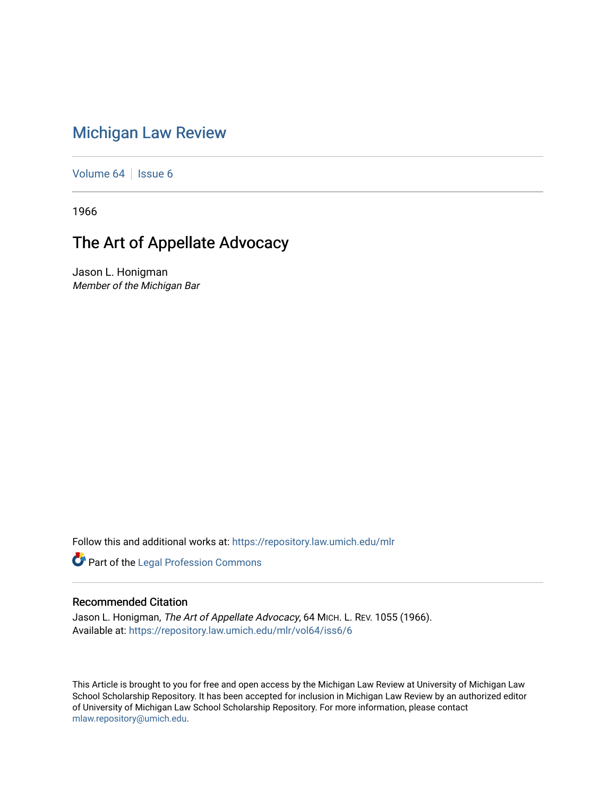# [Michigan Law Review](https://repository.law.umich.edu/mlr)

[Volume 64](https://repository.law.umich.edu/mlr/vol64) | [Issue 6](https://repository.law.umich.edu/mlr/vol64/iss6)

1966

# The Art of Appellate Advocacy

Jason L. Honigman Member of the Michigan Bar

Follow this and additional works at: [https://repository.law.umich.edu/mlr](https://repository.law.umich.edu/mlr?utm_source=repository.law.umich.edu%2Fmlr%2Fvol64%2Fiss6%2F6&utm_medium=PDF&utm_campaign=PDFCoverPages) 

**Part of the [Legal Profession Commons](http://network.bepress.com/hgg/discipline/1075?utm_source=repository.law.umich.edu%2Fmlr%2Fvol64%2Fiss6%2F6&utm_medium=PDF&utm_campaign=PDFCoverPages)** 

## Recommended Citation

Jason L. Honigman, The Art of Appellate Advocacy, 64 MICH. L. REV. 1055 (1966). Available at: [https://repository.law.umich.edu/mlr/vol64/iss6/6](https://repository.law.umich.edu/mlr/vol64/iss6/6?utm_source=repository.law.umich.edu%2Fmlr%2Fvol64%2Fiss6%2F6&utm_medium=PDF&utm_campaign=PDFCoverPages)

This Article is brought to you for free and open access by the Michigan Law Review at University of Michigan Law School Scholarship Repository. It has been accepted for inclusion in Michigan Law Review by an authorized editor of University of Michigan Law School Scholarship Repository. For more information, please contact [mlaw.repository@umich.edu.](mailto:mlaw.repository@umich.edu)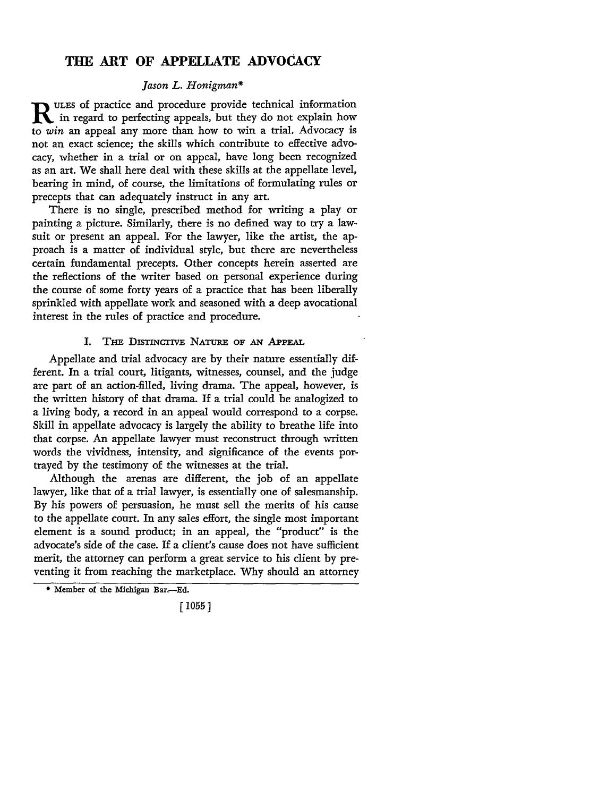## **THE ART OF APPELLATE ADVOCACY**

### *Jason L. Honigman\**

**R** ULES of practice and procedure provide technical information  $\mathbf K$  in regard to perfecting appeals, but they do not explain how to *win* an appeal any more than how to win a trial. Advocacy is not an exact science; the skills which contribute to effective advocacy, whether in a trial or on appeal, have long been recognized as an art. We shall here deal with these skills at the appellate level, bearing in mind, of course, the limitations of formulating rules or precepts that can adequately instruct in any art.

There is no single, prescribed method for writing a play or painting a picture. Similarly, there is no defined way to try a lawsuit or present an appeal. For the lawyer, like the artist, the approach is a matter of individual style, but there are nevertheless certain fundamental precepts. Other concepts herein asserted are the reflections of the writer based on personal experience during the course of some forty years of a practice that has been liberally sprinkled with appellate work and seasoned with a deep avocational interest in the rules of practice and procedure.

#### I. THE DISTINcTIVE NATURE OF **AN APPEAL**

Appellate and trial advocacy are by their nature essentially different. In a trial court, litigants, witnesses, counsel, and the judge are part of an action-filled, living drama. The appeal, however, is the written history of that drama. If a trial could be analogized to a living body, a record in an appeal would correspond to a corpse. Skill in appellate advocacy is largely the ability to breathe life into that corpse. An appellate lawyer must reconstruct through written words the vividness, intensity, and significance of the events portrayed by the testimony of the witnesses at the trial.

Although the arenas are different, the job of an appellate lawyer, like that of a trial lawyer, is essentially one of salesmanship. By his powers of persuasion, he must sell the merits of his cause to the appellate court. In any sales effort, the single most important element is a sound product; in an appeal, the "product" is the advocate's side of the case. If a client's cause does not have sufficient merit, the attorney can perform a great service to his client by preventing it from reaching the marketplace. Why should an attorney

<sup>\*</sup>Member of **the** Michigan **Bar.-Ed.**

**<sup>[1055]</sup>**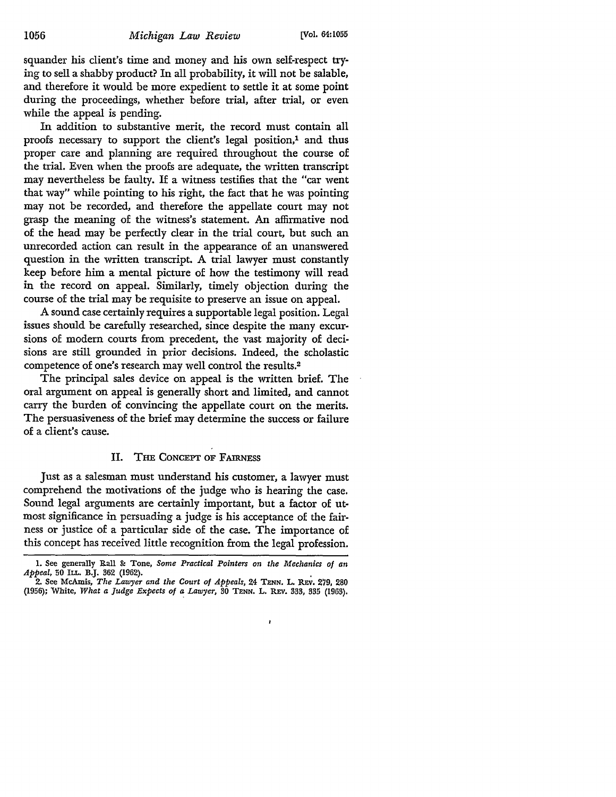squander his client's time and money and his own self-respect trying to sell a shabby product? In all probability, it will not be salable, and therefore it would be more expedient to settle it at some point during the proceedings, whether before trial, after trial, or even while the appeal is pending.

In addition to substantive merit, the record must contain all proofs necessary to support the client's legal position,<sup>1</sup> and thus proper care and planning are required throughout the course of the trial. Even when the proofs are adequate, the written transcript may nevertheless be faulty. If a witness testifies that the "car went that way" while pointing to his right, the fact that he was pointing may not be recorded, and therefore the appellate court may not grasp the meaning of the witness's statement. An affirmative nod of the head may be perfectly clear in the trial court, but such an unrecorded action can result in the appearance of an unanswered question in the written transcript. **A** trial lawyer must constantly keep before him a mental picture of how the testimony will read in the record on appeal. Similarly, timely objection during the course of the trial may be requisite to preserve an issue on appeal.

A sound case certainly requires a supportable legal position. Legal issues should be carefully researched, since despite the many excursions of modem courts from precedent, the vast majority of decisions are still grounded in prior decisions. Indeed, the scholastic competence of one's research may well control the results.2

The principal sales device on appeal is the written brief. The oral argument on appeal is generally short and limited, and cannot carry the burden of convincing the appellate court on the merits. The persuasiveness of the brief may determine the success or failure of a client's cause.

#### II. THE CONCEPT OF FAIRNESS

Just as a salesman must understand his customer, a lawyer must comprehend the motivations of the judge who is hearing the case. Sound legal arguments are certainly important, but a factor of utmost significance in persuading a judge is his acceptance of the fairness or justice of a particular side of the case. The importance of this concept has received little recognition from the legal profession.

**<sup>1.</sup>** See generally Rall **&** Tone, *Some Practical Pointers on the Mechanics of an Appeal,* 50 ILL. B.J. **362 (1962).**

<sup>2.</sup> See McAmis, *The Lawyer and the Court of Appeals*, 24 TENN. L. REV. 279, 280 (1956); White, What a Judge Expects of a Lawyer, 30 TENN. L. REV. 333, 335 (1963).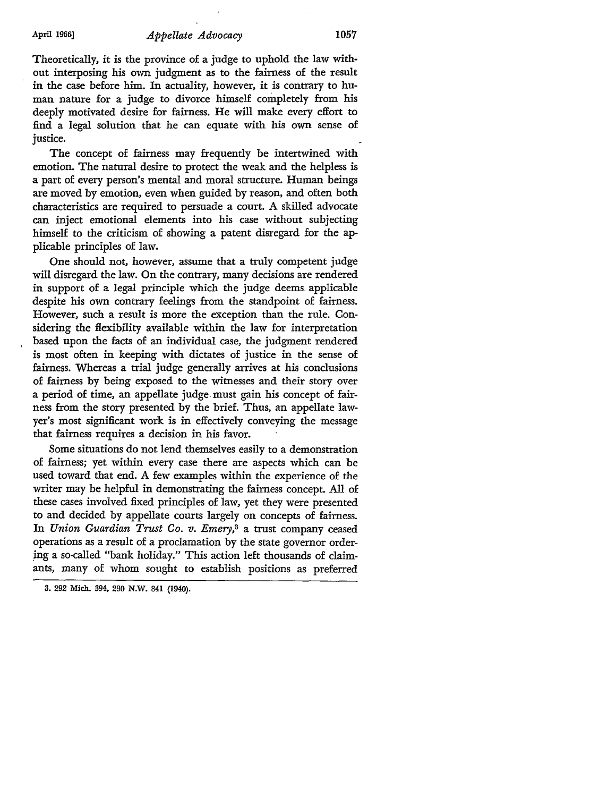Theoretically, it is the province of a judge to uphold the law without interposing his own judgment as to the fairness of the result in the case before him. In actuality, however, it is contrary to human nature for a judge to divorce himself completely from his deeply motivated desire for fairness. He will make every effort to find a legal solution that he can equate with his own sense of justice.

The concept of fairness may frequently be intertwined with emotion. The natural desire to protect the weak and the helpless is a part of every person's mental and moral structure. Human beings are moved by emotion, even when guided by reason, and often both characteristics are required to persuade a court. **A** skilled advocate can inject emotional elements into his case without subjecting himself to the criticism of showing a patent disregard for the applicable principles of law.

One should not, however, assume that a truly competent judge will disregard the law. On the contrary, many decisions are rendered in support of a legal principle which the judge deems applicable despite his own contrary feelings from the standpoint of fairness. However, such a result is more the exception than the rule. Considering the flexibility available within the law for interpretation based upon the facts of an individual case, the judgment rendered is most often in keeping with dictates of justice in the sense of fairness. Whereas a trial judge generally arrives at his conclusions of fairness by being exposed to the witnesses and their story over a period of time, an appellate judge must gain his concept of fairness from the story presented by the brief. Thus, an appellate lawyer's most significant work is in effectively conveying the message that fairness requires a decision in his favor.

Some situations do not lend themselves easily to a demonstration of fairness; yet within every case there are aspects which can be used toward that end. **A** few examples within the experience of the writer may be helpful in demonstrating the fairness concept. **All** of these cases involved fixed principles of law, yet they were presented to and decided by appellate courts largely on concepts of fairness. In *Union Guardian Trust Co. v. Emery,3* a trust company ceased operations as a result of a proclamation by the state governor ordering a so-called "bank holiday." This action left thousands of claimants, many of whom sought to establish positions as preferred

**<sup>3.</sup>** 292 Mich. 394, 290 N.W. 841 (1940).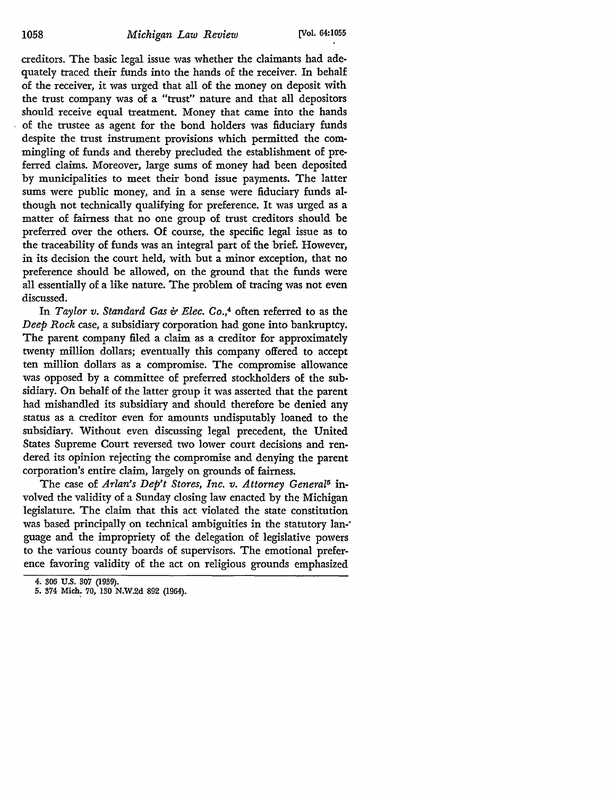*Michigan Law Review* **1058 [Vol. 64:1055**

creditors. The basic legal issue was whether the claimants had adequately traced their funds into the hands of the receiver. In behalf of the receiver, it was urged that all of the money on deposit with the trust company was of a "trust" nature and that all depositors should receive equal treatment. Money that came into the hands of the trustee as agent for the bond holders was fiduciary funds despite the trust instrument provisions which permitted the commingling of funds and thereby precluded the establishment of preferred claims. Moreover, large sums of money had been deposited by municipalities to meet their bond issue payments. The latter sums were public money, and in a sense were fiduciary funds although not technically qualifying for preference. It was urged as a matter of fairness that no one group of trust creditors should be preferred over the others. Of course, the specific legal issue as to the traceability of funds was an integral part of the brief. However, in its decision the court held, with but a minor exception, that no preference should be allowed, on the ground that the funds were all essentially of a like nature. The problem of tracing was not even discussed.

In *Taylor v. Standard Gas & Elec. Co.,4* often referred to as the *Deep Rock* case, a subsidiary corporation had gone into bankruptcy. The parent company filed a claim as a creditor for approximately twenty million dollars; eventually this company offered to accept ten million dollars as a compromise. The compromise allowance was opposed **by** a committee of preferred stockholders of the subsidiary. On behalf of the latter group it was asserted that the parent had mishandled its subsidiary and should therefore be denied any status as a creditor even for amounts undisputably loaned to the subsidiary. Without even discussing legal precedent, the United States Supreme Court reversed two lower court decisions and rendered its opinion rejecting the compromise and denying the parent corporation's entire claim, largely on grounds of fairness.

The case of *Arlan's Dep't Stores, Inc. v. Attorney General'* involved the validity of a Sunday closing law enacted by the Michigan legislature. The claim that this act violated the state constitution was based principally on technical ambiguities in the statutory lan-' guage and the impropriety of the delegation of legislative powers to the various county boards of supervisors. The emotional preference favoring validity of the act on religious grounds emphasized

<sup>4.</sup> **306** U.S. **307** (1939).

**<sup>5.</sup>** 374 Mich. 70, **180** N.W2d 892 (1964).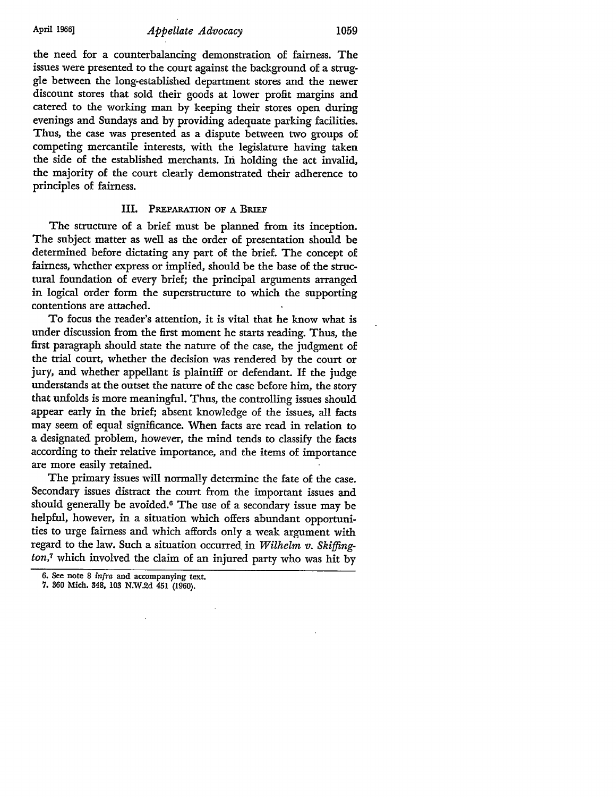the need for a counterbalancing demonstration of fairness. The issues were presented to the court against the background of a struggle between the long-established department stores and the newer discount stores that sold their goods at lower profit margins and catered to the working man by keeping their stores open during evenings and Sundays and by providing adequate parking facilities. Thus, the case was presented as a dispute between two groups of competing mercantile interests, with the legislature having taken the side of the established merchants. In holding the act invalid, the majority of the court clearly demonstrated their adherence to principles of fairness.

#### III. **PREPARATION** OF **A** BRIEF

The structure of a brief must be planned from its inception. The subject matter as well as the order of presentation should be determined before dictating any part of the brief. The concept of fairness, whether express or implied, should be the base of the structural foundation of every brief; the principal arguments arranged in logical order form the superstructure to which the supporting contentions are attached.

To focus the reader's attention, it is vital that he know what is under discussion from the first moment he starts reading. Thus, the first paragraph should state the nature of the case, the judgment of the trial court, whether the decision was rendered by the court or jury, and whether appellant is plaintiff or defendant. If the judge understands at the outset the nature of the case before him, the story that unfolds is more meaningful. Thus, the controlling issues should appear early in the brief; absent knowledge of the issues, all facts may seem of equal significance. When facts are read in relation to a designated problem, however, the mind tends to classify the facts according to their relative importance, and the items of importance are more easily retained.

The primary issues will normally determine the fate of the case. Secondary issues distract the court from the important issues and should generally be avoided.6 The use of a secondary issue may be helpful, however, in a situation which offers abundant opportunities to urge fairness and which affords only a weak argument with regard to the law. Such a situation occurred in *Wilhelm v. Skifington,7* which involved the claim of an injured party who was hit by

**7.** 860 Mich. 348, **103 N.W.2d** 451 (1960).

**<sup>6.</sup>** See note 8 *inra* and accompanying text.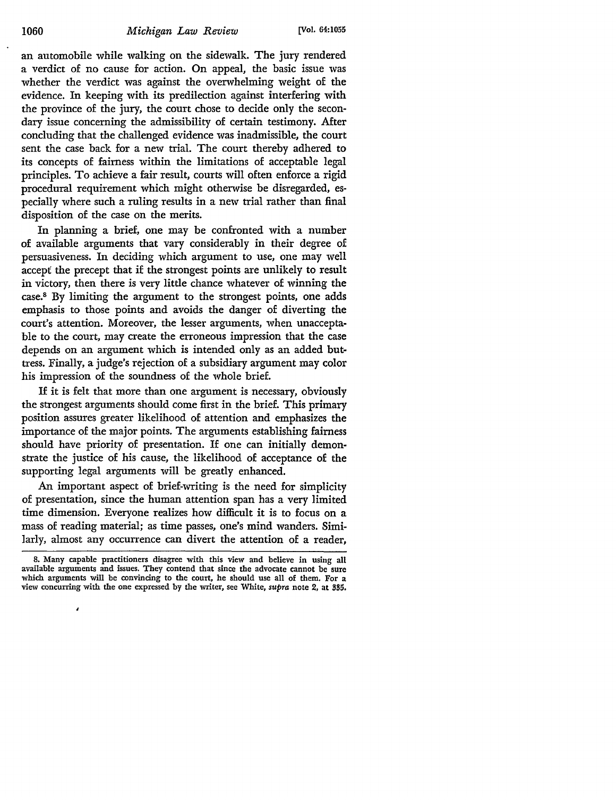an automobile while walking on the sidewalk. The jury rendered a verdict of no cause for action. On appeal, the basic issue was whether the verdict was against the overwhelming weight of the evidence. In keeping with its predilection against interfering with the province of the jury, the court chose to decide only the secondary issue concerning the admissibility of certain testimony. After concluding that the challenged evidence was inadmissible, the court sent the case back for a new trial. The court thereby adhered to its concepts of fairness within the limitations of acceptable legal principles. To achieve a fair result, courts will often enforce a rigid procedural requirement which might otherwise be disregarded, especially where such a ruling results in a new trial rather than final disposition of the case on the merits.

In planning a brief, one may be confronted with a number of available arguments that vary considerably in their degree of persuasiveness. In deciding which argument to use, one may well accept the precept that if the strongest points are unlikely to result in victory, then there is very little chance whatever of winning the case.8 By limiting the argument to the strongest points, one adds emphasis to those points and avoids the danger of diverting the court's attention. Moreover, the lesser arguments, when unacceptable to the court, may create the erroneous impression that the case depends on an argument which is intended only as an added buttress. Finally, a judge's rejection of a subsidiary argument may color his impression of the soundness of the whole brief.

If it is felt that more than one argument is necessary, obviously the strongest arguments should come first in the brief. This primary position assures greater likelihood of attention and emphasizes the importance of the major points. The arguments establishing fairness should have priority of presentation. If one can initially demonstrate the justice of his cause, the likelihood of acceptance of the supporting legal arguments will be greatly enhanced.

An important aspect of brief-writing is the need for simplicity of presentation, since the human attention span has a very limited time dimension. Everyone realizes how difficult it is to focus on a mass of reading material; as time passes, one's mind wanders. Similarly, almost any occurrence can divert the attention of a reader,

**<sup>8.</sup>** Many capable practitioners disagree with this view and believe in using all available arguments and issues. They contend that since the advocate cannot **be** sure which arguments will be convincing to the court, he should use all of them. For a view concurring with the one expressed **by** the writer, see White, supra note 2, at **335.**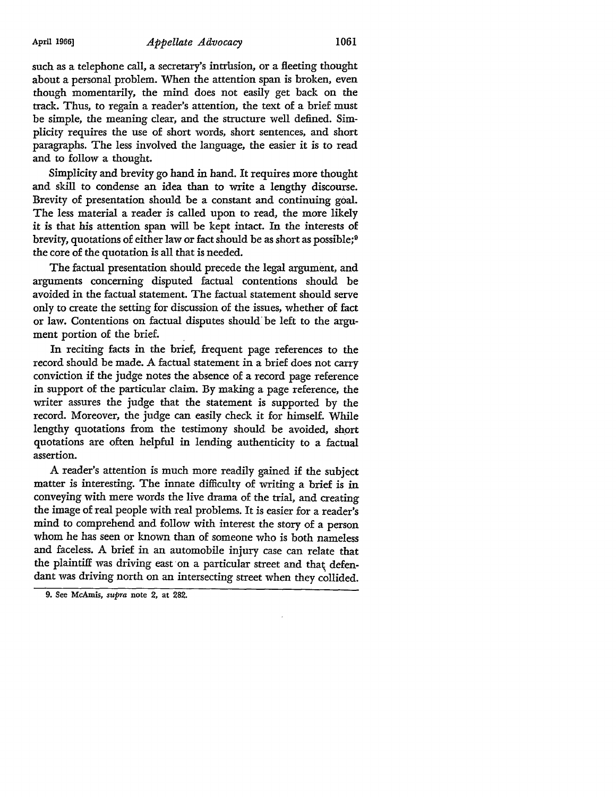such as a telephone call, a secretary's intrusion, or a fleeting thought about a personal problem. When the attention span is broken, even though momentarily, the mind does not easily get back on the track. Thus, to regain a reader's attention, the text of a brief must be simple, the meaning clear, and the structure well defined. Simplicity requires the use of short words, short sentences, and short paragraphs. The less involved the language, the easier it is to read and to follow a thought.

Simplicity and brevity go hand in hand. It requires more thought and skill to condense an idea than to write a lengthy discourse. Brevity of presentation should be a constant and continuing goal. The less material a reader is called upon to read, the more likely it is that his attention span will be kept intact. In the interests of brevity, quotations of either law or fact should be as short as possible; <sup>9</sup> the core of the quotation is all that is needed.

The factual presentation should precede the legal argument, and arguments concerning disputed factual contentions should be avoided in the factual statement. The factual statement should serve only to create the setting for discussion of the issues, whether of fact or law. Contentions on factual disputes should be left to the argument portion of the brief.

In reciting facts in the brief, frequent page references to the record should be made. **A** factual statement in a brief does not carry conviction if the judge notes the absence of a record page reference in support of the particular claim. By making a page reference, the writer assures the judge that the statement is supported by the record. Moreover, the judge can easily check it for himself. While lengthy quotations from the testimony should be avoided, short quotations are often helpful in lending authenticity to a factual assertion.

**A** reader's attention is much more readily gained if the subject matter is interesting. The innate difficulty of writing a brief is in conveying with mere words the live drama of the trial, and creating the image of real people with real problems. It is easier for a reader's mind to comprehend and follow with interest the story of a person whom he has seen or known than of someone who is both nameless and faceless. **A** brief in an automobile injury case can relate that the plaintiff was driving east on a particular street and that defendant was driving north on an intersecting street when they collided.

**<sup>9.</sup>** See McAmis, supra note *2,* at **282.**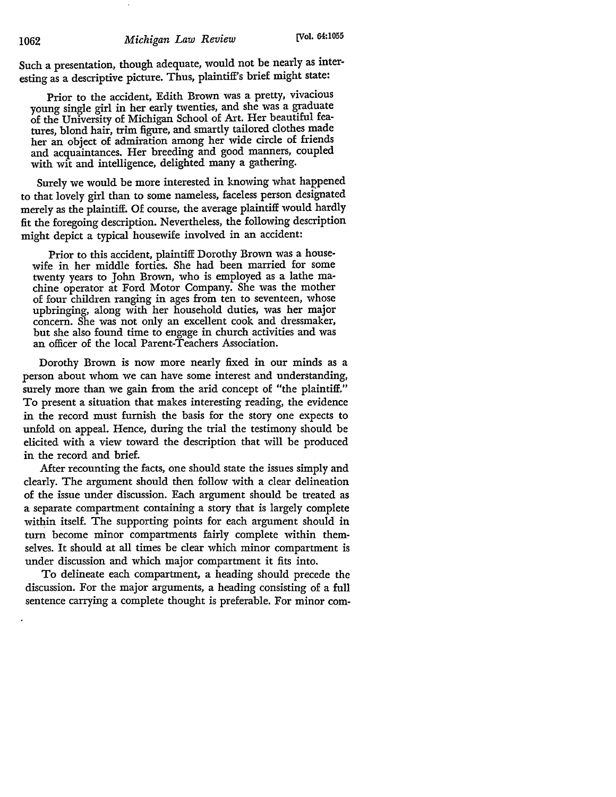Such a presentation, though adequate, would not be nearly as interesting as a descriptive picture. Thus, plaintiff's brief might state:

Prior to the accident, Edith Brown was a pretty, vivacious young single girl in her early twenties, and she was a graduate of the University of Michigan School of Art. Her beautiful features, blond hair, trim figure, and smartly tailored clothes made her an object of admiration among her wide circle of friends and acquaintances. Her breeding and good manners, coupled with wit and intelligence, delighted many a gathering.

Surely we would be more interested in knowing what happened to that lovely girl than to some nameless, faceless person designated merely as the plaintiff. Of course, the average plaintiff would hardly fit the foregoing description. Nevertheless, the following description might depict a typical housewife involved in an accident:

Prior to this accident, plaintiff Dorothy Brown was a housewife in her middle forties. She had been married for some twenty years to John Brown, who is employed as a lathe machine operator at Ford Motor Company. She was the mother of four children ranging in ages from ten to seventeen, whose upbringing, along with her household duties, was her major concern. She was not only an excellent cook and dressmaker, but she also found time to engage in church activities and was an officer of the local Parent-Teachers Association.

Dorothy Brown is now more nearly fixed in our minds as a person about whom we can have some interest and understanding, surely more than we gain from the arid concept of "the plaintiff." To present a situation that makes interesting reading, the evidence in the record must furnish the basis for the story one expects to unfold on appeal. Hence, during the trial the testimony should be elicited with a view toward the description that will be produced in the record and brief.

After recounting the facts, one should state the issues simply and clearly. The argument should then follow with a clear delineation of the issue under discussion. Each argument should be treated as a separate compartment containing a story that is largely complete within itself. The supporting points for each argument should in turn become minor compartments fairly complete within themselves. It should at all times be clear which minor compartment is under discussion and which major compartment it fits into.

To delineate each compartment, a heading should precede the discussion. For the major arguments, a heading consisting of a full sentence carrying a complete thought is preferable. For minor com-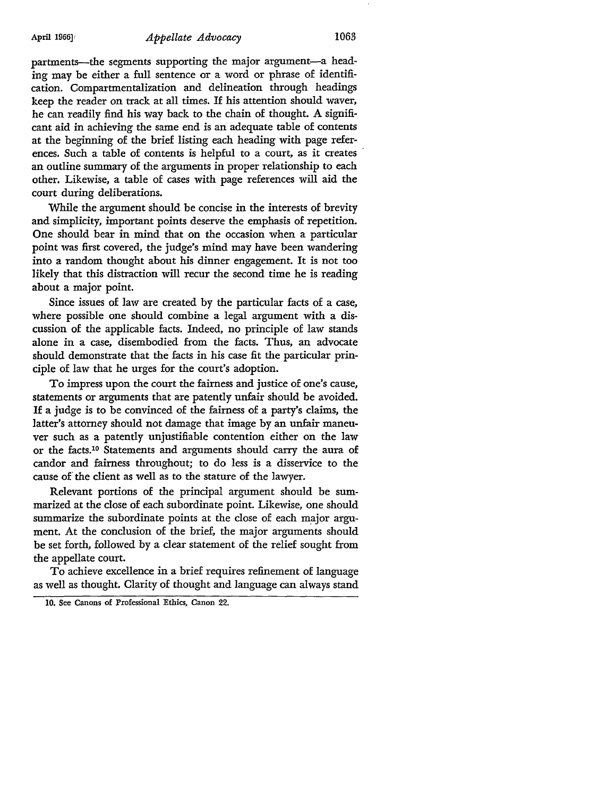partments-the segments supporting the major argument-a heading may be either a full sentence or a word or phrase of identification. Compartmentalization and delineation through headings keep the reader on track at all times. If his attention should waver, he can readily find his way back to the chain of thought. A significant aid in achieving the same end is an adequate table of contents at the beginning of the brief listing each heading with page references. Such a table of contents is helpful to a court, as it creates an outline summary of the arguments in proper relationship to each other. Likewise, a table of cases with page references will aid the court during deliberations.

While the argument should be concise in the interests of brevity and simplicity, important points deserve the emphasis of repetition. One should bear in mind that on the occasion when a particular point was first covered, the judge's mind may have been wandering into a random thought about his dinner engagement. It is not too likely that this distraction will recur the second time he is reading about a major point.

Since issues of law are created by the particular facts of a case, where possible one should combine a legal argument with a discussion of the applicable facts. Indeed, no principle of law stands alone in a case, disembodied from the facts. Thus, an advocate should demonstrate that the facts in his case fit the particular principle of law that he urges for the court's adoption.

To impress upon the court the fairness and justice of one's cause, statements or arguments that are patently unfair should be avoided. If a judge is to be convinced of the fairness of a party's claims, the latter's attorney should not damage that image by an unfair maneuver such as a patently unjustifiable contention either on the law or the facts.10 Statements and arguments should carry the aura of candor and fairness throughout; to do less is a disservice to the cause of the client as well as to the stature of the lawyer.

Relevant portions of the principal argument should be summarized at the close of each subordinate point. Likewise, one should summarize the subordinate points at the close of each major argument. At the conclusion of the brief, the major arguments should be set forth, followed by a clear statement of the relief sought from the appellate court.

To achieve excellence in a brief requires refinement of language as well as thought. Clarity of thought and language can always stand

**<sup>10.</sup>** See Canons of Professional Ethics, Canon 22.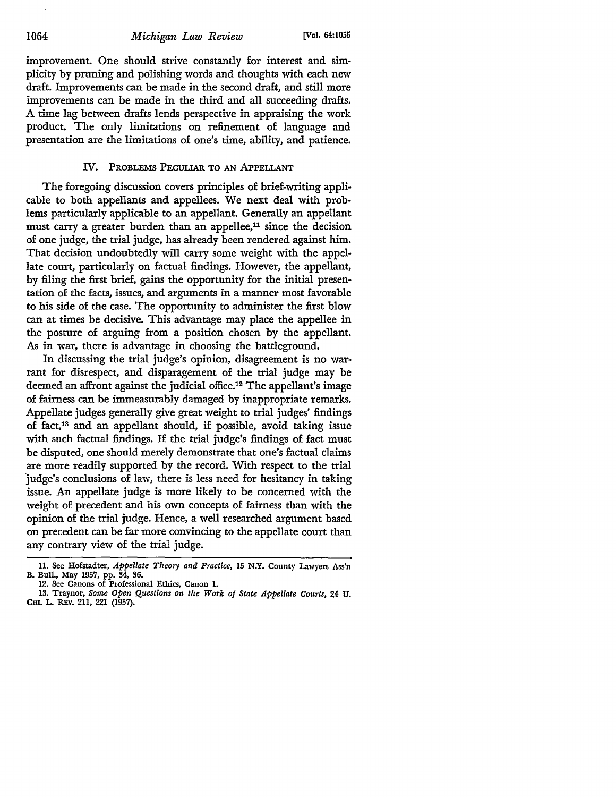improvement. One should strive constantly for interest and simplicity by pruning and polishing words and thoughts with each new draft. Improvements can be made in the second draft, and still more improvements can be made in the third and all succeeding drafts. A time lag between drafts lends perspective in appraising the work product. The only limitations on refinement of language and presentation are the limitations of one's time, ability, and patience.

#### IV. PROBLEMS **PECULIAR** TO AN **APPELLANT**

The foregoing discussion covers principles of brief-writing applicable to both appellants and appellees. We next deal with problems particularly applicable to an appellant. Generally an appellant must carry a greater burden than an appellee,<sup>11</sup> since the decision of one judge, the trial judge, has already been rendered against him. That decision undoubtedly will carry some weight with the appellate court, particularly on factual findings. However, the appellant, by filing the first brief, gains the opportunity for the initial presentation of the facts, issues, and arguments in a manner most favorable to his side of the case. The opportunity to administer the first blow can at times be decisive. This advantage may place the appellee in the posture of arguing from a position chosen by the appellant. As in war, there is advantage in choosing the battleground.

In discussing the trial judge's opinion, disagreement is no warrant for disrespect, and disparagement of the trial judge may be deemed an affront against the judicial office.12 The appellant's image of fairness can be immeasurably damaged by inappropriate remarks. Appellate judges generally give great weight to trial judges' findings of fact,13 and an appellant should, if possible, avoid taking issue with such factual findings. If the trial judge's findings of fact must be disputed, one should merely demonstrate that one's factual claims are more readily supported by the record. With respect to the trial judge's conclusions of law, there is less need for hesitancy in taking issue. An appellate judge is more likely to be concerned with the weight of precedent and his own concepts of fairness than with the opinion of the trial judge. Hence, a well researched argument based on precedent can be far more convincing to the appellate court than any contrary view of the trial judge.

**<sup>11.</sup>** See Hofstadter, *Appellate Theory and Practice,* **15** N.Y. County Lawyers **Ass'n** B. Bull., May **1957, pp. 84, 36.**

<sup>12.</sup> See Canons of Professional Ethics, Canon **1.**

**<sup>13.</sup>** Traynor, *Some Open Questions on the Work of State Appellate Courts,* 24 **U.** CHI. L. REV. 211, 221 (1957).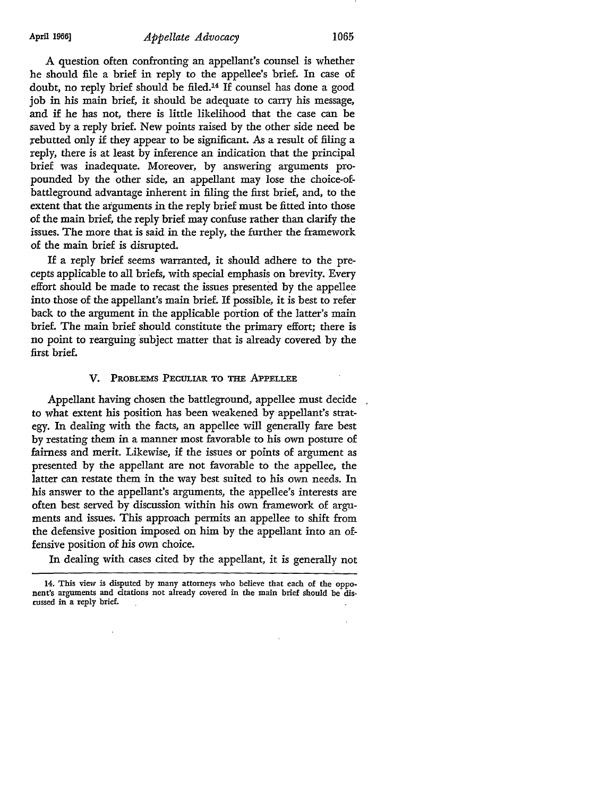## *Appellate Advocacy* April **1966] 1065**

**A** question often confronting an appellant's counsel is whether he should file a brief in reply to the appellee's brief. In case of doubt, no reply brief should be filed.14 If counsel has done a good **job** in his main brief, it should be adequate to carry his message, and if he has not, there is little likelihood that the case can be saved by a reply brief. New points raised by the other side need be rebutted only if they appear to be significant. As a result of filing a reply, there is at least by inference an indication that the principal brief was inadequate. Moreover, by answering arguments propounded by the other side, an appellant may lose the choice-ofbattleground advantage inherent in filing the first brief, and, to the extent that the arguments in the reply brief must be fitted into those of the main brief, the reply brief may confuse rather than clarify the issues. The more that is said in the reply, the further the framework of the main brief is disrupted.

If a reply brief seems warranted, it should adhere to the precepts applicable to all briefs, with special emphasis on brevity. Every effort should be made to recast the issues presented by the appellee into those of the appellant's main brief. If possible, it is best to refer back to the argument in the applicable portion of the latter's main brief. The main brief should constitute the primary effort; there is no point to rearguing subject matter that is already covered by the first brief.

#### V. PROBLEMS PECULIAR TO THE **APPELLEE**

Appellant having chosen the battleground, appellee must decide to what extent his position has been weakened by-appellant's strategy. In dealing with the facts, an appellee will generally fare best by restating them in a manner most favorable to his own posture of fairness and merit. Likewise, if the issues or points of argument as presented by the appellant are not favorable to the appellee, the latter can restate them in the way best suited to his own needs. In his answer to the appellant's arguments, the appellee's interests are often best served by discussion within his own framework of arguments and issues. This approach permits an appellee to shift from the defensive position imposed on him by the appellant into an offensive position of his own choice.

In dealing with cases cited by the appellant, it is generally not

<sup>14.</sup> This view is disputed **by** many attorneys who believe that each of the opponent's arguments and citations not already covered in the main brief should be discussed in a reply brief.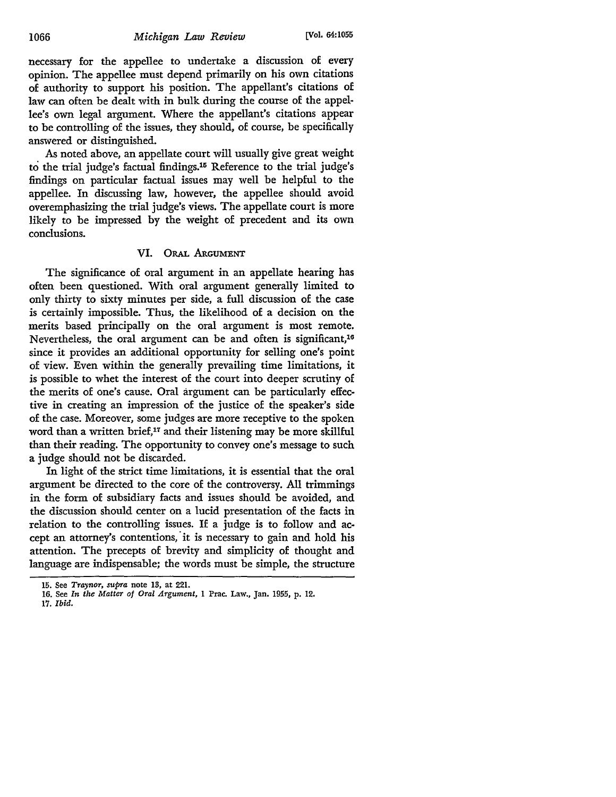necessary for the appellee to undertake a discussion of every opinion. The appellee must depend primarily on his own citations of authority to support his position. The appellant's citations of law can often be dealt with in bulk during the course of the appellee's own legal argument. Where the appellant's citations appear to be controlling of the issues, they should, of course, be specifically answered or distinguished.

As noted above, an appellate court will usually give great weight to the trial judge's factual findings.<sup>15</sup> Reference to the trial judge's findings on particular factual issues may well be helpful to the appellee. In discussing law, however, the appellee should avoid overemphasizing the trial judge's views. The appellate court is more likely to be impressed by the weight of precedent and its own conclusions.

### VI. ORAL ARGUMENT

The significance of oral argument in an appellate hearing has often been questioned. With oral argument generally limited to only thirty to sixty minutes per side, a full discussion of the case is certainly impossible. Thus, the likelihood of a decision on the merits based principally on the oral argument is most remote. Nevertheless, the oral argument can be and often is significant,<sup>16</sup> since it provides an additional opportunity for selling one's point of view. Even within the generally prevailing time limitations, it is possible to whet the interest of the court into deeper scrutiny of the merits of one's cause. Oral argument can be particularly effective in creating an impression of the justice of the speaker's side of the case. Moreover, some judges are more receptive to the spoken word than a written brief, $17$  and their listening may be more skillful than their reading. The opportunity to convey one's message to such a judge should not be discarded.

In light of the strict time limitations, it is essential that the oral argument be directed to the core of the controversy. **All** trimmings in the form of subsidiary facts and issues should be avoided, and the discussion should center on a lucid presentation of the facts in relation to the controlling issues. If a judge is to follow and accept an attorney's contentions, it is necessary to gain and hold his attention. The precepts of brevity and simplicity of thought and language are indispensable; the words must be simple, the structure

17. *Ibid.*

**<sup>15.</sup>** See *Traynor, supra* note **13,** at 221.

<sup>16.</sup> See *In the Matter of Oral Argument,* **I** Prac. Law., Jan. **1955, p.** 12.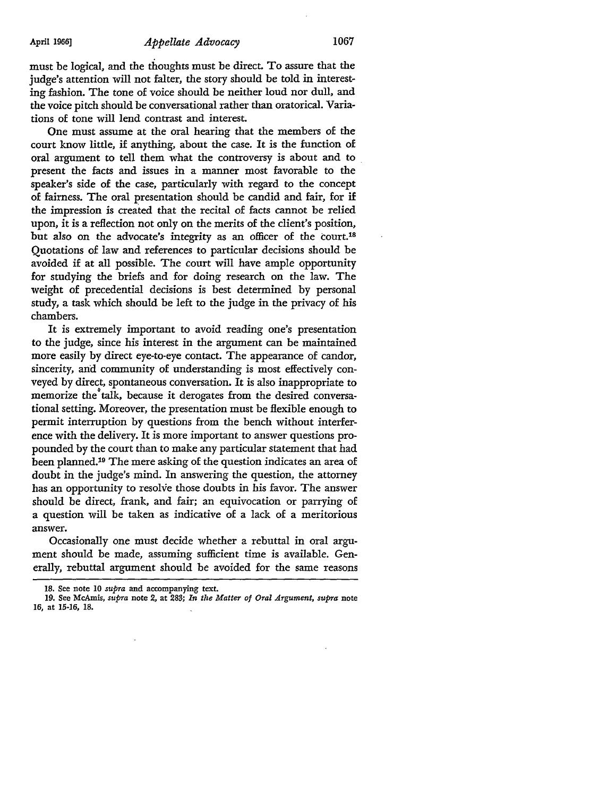must be logical, and the thoughts must be direct. To assure that the judge's attention will not falter, the story should be told in interesting fashion. The tone of voice should be neither loud nor dull, and the voice pitch should be conversational rather than oratorical. Variations of tone will lend contrast and interest.

One must assume at the oral hearing that the members of the court know little, if anything, about the case. It is the function of oral argument to tell them what the controversy is about and to present the facts and issues in a manner most favorable to the speaker's side of the case, particularly with regard to the concept of fairness. The oral presentation should be candid and fair, for **if** the impression is created that the recital of facts cannot be relied upon, it is a reflection not only on the merits of the client's position, but also on the advocate's integrity as an officer of the court.<sup>18</sup> Quotations of law and references to particular decisions should be avoided if at all possible. The court will have ample opportunity for studying the briefs and for doing research on the law. The weight of precedential decisions is best determined by personal study, a task which should be left to the judge in the privacy of his chambers.

It is extremely important to avoid reading one's presentation to the judge, since his interest in the argument can be maintained more easily by direct eye-to-eye contact. The appearance of candor, sincerity, and community of understanding is most effectively conveyed by direct, spontaneous conversation. It is also inappropriate to memorize the talk, because it derogates from the desired conversational setting. Moreover, the presentation must be flexible enough to permit interruption by questions from the bench without interference with the delivery. It is more important to answer questions propounded by the court than to make any particular statement that had been planned.19 The mere asking of the question indicates an area of doubt in the judge's mind. In answering the question, the attorney has an opportunity to resolve those doubts in his favor. The answer should be direct, frank, and fair; an equivocation or parrying of a question will be taken as indicative of a lack of a meritorious answer.

Occasionally one must decide whether a rebuttal in oral argument should be made, assuming sufficient time is available. Generally, rebuttal argument should be avoided for the same reasons

**<sup>18.</sup>** See note 10 *supra* and accompanying text.

<sup>19.</sup> See McAmis, *supra* note *2,* at **283;** *In the Matter of Oral Argument, supra* note **16,** at 15-16, 18.